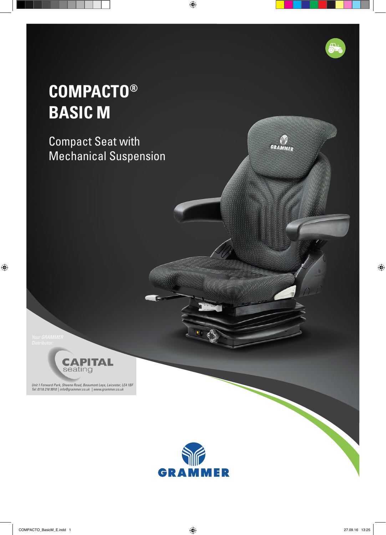## **COMPACTO® BASIC M**

Compact Seat with Mechanical Suspension



*Unit 1 Forward Park, Sheene Road, Beaumont Leys, Leicester, LE4 1BF Tel: 0116 216 9910 | info@grammer.co.uk | www.grammer.co.uk*



GYTTTT